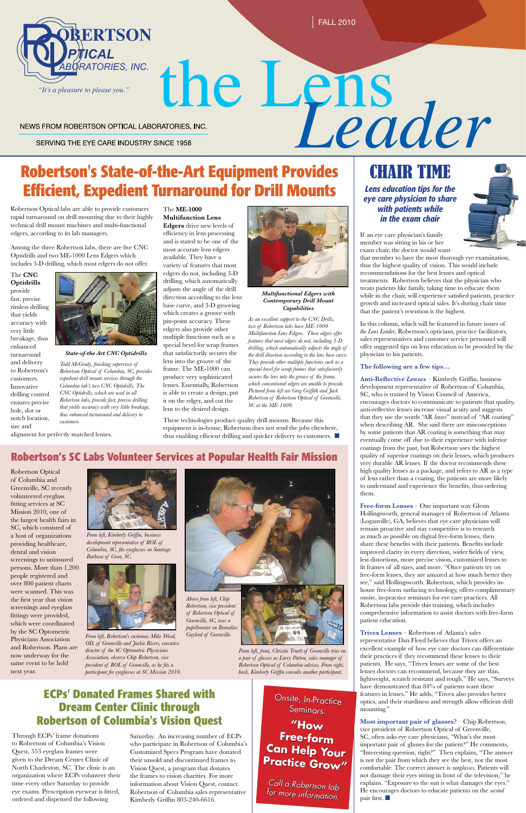

## **Efficient, Expedient Turnaround for Drill Mounts**



# NEWS FROM ROBERTSON OPTICAL LABORATORIES, INC.<br>
NEWS FROM ROBERTSON OPTICAL LABORATORIES, INC.<br>
Robertson's State-of-the-Art Equipment Provides **CHAIR TIME**

NEWS FROM ROBERTSON OPTICAL LABORATORIES, INC.

SERVING THE EYE CARE INDUSTRY SINCE 1958

Robertson Optical labs are able to provide customers rapid turnaround on drill mounting due to their highly technical drill mount machines and multi-functional edgers, according to its lab managers.

Among the three Robertson labs, there are five CNC Optidrills and two ME-1000 Lens Edgers which includes 3-D drilling, which most edgers do not offer.

The **CNC Optidrills** provide fast, precise rimless drilling that yields accuracy with very little breakage, thus enhanced turnaround and delivery to Robertson's customers. Innovative drilling control ensures precise hole, slot or notch location, size and alignment for perfectly matched lenses.



### CHAIR TIME

*Lens education tips for the eye care physician to share with patients while in the exam chair*

These technologies produce quality drill mounts. Because this equipment is in-house, Robertson does not send the jobs elsewhere, thus enabling efficient drilling and quicker delivery to customers.  $\blacksquare$ 

Through ECPs' frame donations to Robertson of Columbia's Vision Quest, 553 eyeglass frames were given to the Dream Center Clinic of North Charleston, SC. The clinic is an organization where ECPs volunteer their time every other Saturday to provide eye exams. Prescription eyewear is fitted, ordered and dispensed the following

#### **ECPs' Donated Frames Shared with Dream Center Clinic through Robertson of Columbia's Vision Quest**

#### The **ME-1000**

**Multifunction Lens Edgers** drive new levels of efficiency in lens processing and is stated to be one of the most accurate lens edgers available. They have a variety of features that most edgers do not, including 3-D drilling, which automatically adjusts the angle of the drill direction according to the lens base curve, and 3-D grooving which creates a groove with pin-point accuracy. These edgers also provide other multiple functions such as a special bevel for wrap frames that satisfactorily secures the lens into the groove of the frame. The ME-1000 can produce very sophisticated lenses. Essentially, Robertson is able to create a design, put it on the edger, and cut the lens to the desired design.

Saturday. An increasing number of ECPs who participate in Robertson of Columbia's Customized Specs Program have donated their unsold and discontinued frames to Vision Quest, a program that donates the frames to vision charities. For more information about Vision Quest, contact Robertson of Columbia sales representative Kimberly Griffin 803-240-6616.

If an eye care physician's family member was sitting in his or her exam chair, the doctor would want

**Most important pair of glasses?** – Chip Robertson, vice president of Robertson Optical of Greenville, SC, often asks eye care physicians, "What's the most important pair of glasses for the patient?" He comments, "Interesting question, right?" Then explains, "The answer is not the pair from which they see the best, nor the most comfortable. The correct answer is *sunglasses*. Patients will not damage their eyes sitting in front of the television," he explains. "Exposure to the sun is what damages the eyes." He encourages doctors to educate patients on the *second* pair first.  $\blacksquare$ 

that member to have the most thorough eye examination, thus the highest quality of vision. This would include recommendations for the best lenses and optical treatments. Robertson believes that the physician who treats patients like family, taking time to educate them while in the chair, will experience satisfied patients, practice growth and increased optical sales. It's during chair time that the patient's retention is the highest.

In this column, which will be featured in future issues of *the Lens Leader*, Robertson's opticians, practice facilitators, sales representatives and customer service personnel will offer suggested tips on lens education to be provided by the physician to his patients.

#### **The following are a few tips…**

**Anti-Reflective** *Lenses* – Kimberly Griffin, business development representative of Robertson of Columbia, SC, who is trained by Vision Council of America, encourages doctors to communicate to patients that quality, anti-reflective lenses increase visual acuity and suggests that they use the words "AR *lenses*" instead of "AR coating" when describing AR. She said there are misconceptions by some patients that AR coating is something that may eventually come off due to their experience with inferior coatings from the past, but Robertson uses the highest quality of superior coatings on their lenses, which produces very durable AR lenses. If the doctor recommends these high quality lenses as a package, and refers to AR as a type of lens rather than a coating, the patients are more likely to understand and experience the benefits, thus ordering them.

**Free-form Lenses** – One important way Glenn Hollingsworth, general manager of Robertson of Atlanta (Loganville), GA, believes that eye care physicians will remain proactive and stay competitive is to research as much as possible on digital free-form lenses, then share these benefits with their patients. Benefits include improved clarity in every direction, wider fields of view, less distortions, more precise vision, customized lenses to fit frames of all sizes, and more. "Once patients try on free-form lenses, they are amazed at how much better they see," said Hollingsworth. Robertson, which provides inhouse free-form surfacing technology, offers complimentary onsite, in-practice seminars for eye care practices. All Robertson labs provide this training, which includes comprehensive information to assist doctors with free-form patient education.

**Trivex Lenses** – Robertson of Atlanta's sales representative Dan Floyd believes that Trivex offers an excellent example of how eye care doctors can differentiate their practices if they recommend these lenses to their patients. He says, "Trivex lenses are some of the best lenses doctors can recommend, because they are thin, lightweight, scratch resistant and tough." He says, "Surveys have demonstrated that 84% of patients want these features in lenses." He adds, "Trivex also provides better optics, and their sturdiness and strength allow efficient drill mounting."



*Multifunctional Edgers with Contemporary Drill Mount Capabilities*

*As an excellent support to the CNC Drills, two of Robertson labs have ME-1000 Multifunction Lens Edgers. These edgers offer features that most edgers do not, including 3-D drilling, which automatically adjusts the angle of the drill direction according to the lens base curve. They provide other multiple functions such as a special bevel for wrap frames that satisfactorily secures the lens into the groove of the frame, which conventional edgers are unable to provide. Pictured from left are Greg Griffith and Jack Robertson of Robertson Optical of Greenville, SC at the ME-1000.*

#### *State-of-the Art CNC Optidrills*

*Todd McGrady, finishing supervisor of Robertson Optical of Columbia, SC, provides expedient drill mount services through the Columbia lab's two CNC Optidrills. The CNC Optidrills, which are used in all Robertson labs, provide fast, precise drilling that yields accuracy with very little breakage, thus enhanced turnaround and delivery to customers.*

#### **Robertson's SC Labs Volunteer Services at Popular Health Fair Mission**

Robertson Optical of Columbia and Greenville, SC recently volunteered eyeglass fitting services at SC Mission 2010, one of the largest health fairs in SC, which consisted of a host of organizations providing healthcare, dental and vision screenings to uninsured persons. More than 1,200 people registered and over 800 patient charts were scanned. This was the first year that vision screenings and eyeglass fittings were provided, which were coordinated by the SC Optometric Physicians Association and Robertson. Plans are now underway for the same event to be held next year.

*From left, Robertson's customer, Mike Wood, OD, of Greenville and Jackie Rivers, executive director of the SC Optometric Physicians Association, observe Chip Robertson, vice president of ROL of Greenville, as he fits a participant for eyeglasses at SC Mission 2010.* 



*From left, Kimberly Griffin, business development representative of ROL of Columbia, SC, fits eyeglasses on Santiago Barbosa of Greer, SC.*



*From left, front, Christie Truett of Greenville tries on a pair of glasses as Larry Patton, sales manager of Robertson Optical of Columbia advises. From right, back, Kimberly Griffin consults another participant.*



Onsite, In-Practice Seminars: **"How Free-form Can Help Your** 

**Practice Grow"**

*Call a Robertson lab for more information.*